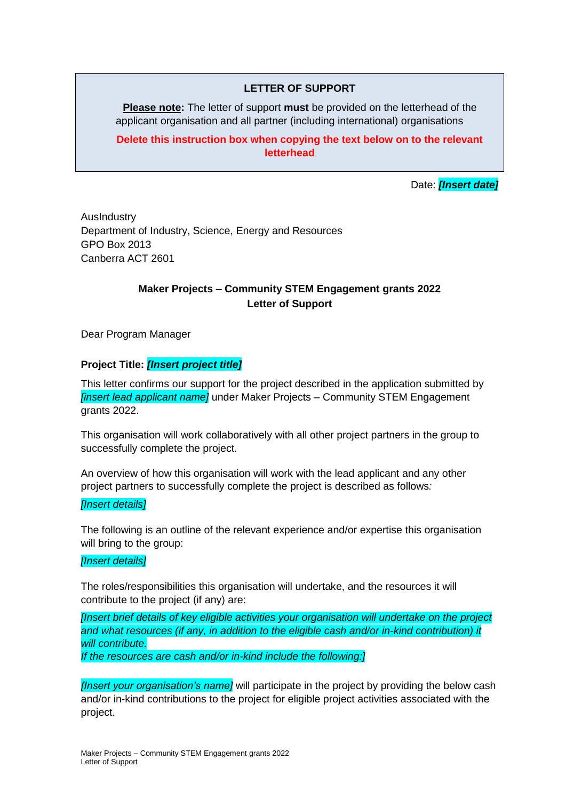## **LETTER OF SUPPORT**

**Please note:** The letter of support **must** be provided on the letterhead of the applicant organisation and all partner (including international) organisations

**Delete this instruction box when copying the text below on to the relevant letterhead**

Date: *[Insert date]*

AusIndustry Department of Industry, Science, Energy and Resources GPO Box 2013 Canberra ACT 2601

# **Maker Projects – Community STEM Engagement grants 2022 Letter of Support**

Dear Program Manager

## **Project Title:** *[Insert project title]*

This letter confirms our support for the project described in the application submitted by *[insert lead applicant name]* under Maker Projects – Community STEM Engagement grants 2022.

This organisation will work collaboratively with all other project partners in the group to successfully complete the project.

An overview of how this organisation will work with the lead applicant and any other project partners to successfully complete the project is described as follows*:*

### *[Insert details]*

The following is an outline of the relevant experience and/or expertise this organisation will bring to the group:

### *[Insert details]*

The roles/responsibilities this organisation will undertake, and the resources it will contribute to the project (if any) are:

*[Insert brief details of key eligible activities your organisation will undertake on the project and what resources (if any, in addition to the eligible cash and/or in-kind contribution) it will contribute.* 

*If the resources are cash and/or in-kind include the following:]*

*[Insert your organisation's name]* will participate in the project by providing the below cash and/or in-kind contributions to the project for eligible project activities associated with the project.